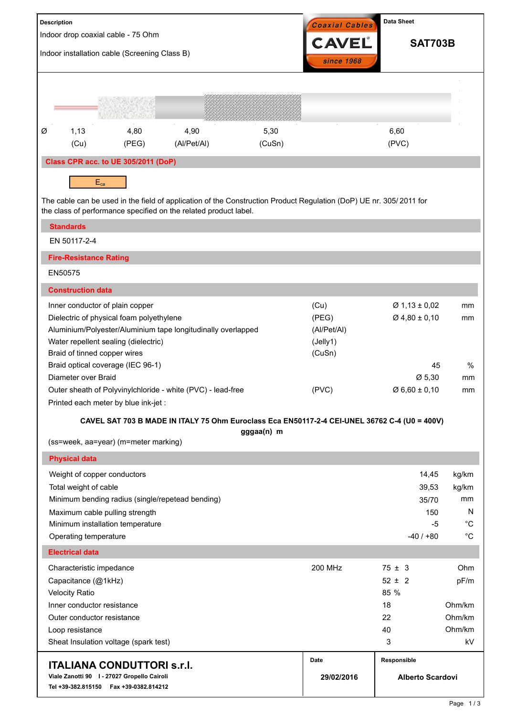| <b>CAVEL</b><br><b>SAT703B</b><br>Indoor installation cable (Screening Class B)<br>since 1968<br>4,80<br>4,90<br>5,30<br>6,60<br>Ø<br>1,13<br>(PVC)<br>(Cu)<br>(PEG)<br>(Al/Pet/Al)<br>(CuSn)<br>Class CPR acc. to UE 305/2011 (DoP)<br>$E_{ca}$<br>The cable can be used in the field of application of the Construction Product Regulation (DoP) UE nr. 305/2011 for<br>the class of performance specified on the related product label.<br><b>Standards</b><br>EN 50117-2-4<br><b>Fire-Resistance Rating</b><br>EN50575<br><b>Construction data</b><br>(Cu)<br>$Ø$ 1,13 ± 0,02<br>Inner conductor of plain copper<br>mm<br>$Ø$ 4,80 ± 0,10<br>Dielectric of physical foam polyethylene<br>(PEG)<br>mm<br>Aluminium/Polyester/Aluminium tape longitudinally overlapped<br>(Al/Pet/Al)<br>Water repellent sealing (dielectric)<br>(Jelly1)<br>Braid of tinned copper wires<br>(CuSn)<br>Braid optical coverage (IEC 96-1)<br>45<br>%<br>Diameter over Braid<br>Ø 5,30<br>mm<br>(PVC)<br>Outer sheath of Polyvinylchloride - white (PVC) - lead-free<br>$\varnothing$ 6,60 ± 0,10<br>mm<br>Printed each meter by blue ink-jet :<br>CAVEL SAT 703 B MADE IN ITALY 75 Ohm Euroclass Eca EN50117-2-4 CEI-UNEL 36762 C-4 (U0 = 400V)<br>gggaa(n) m<br>(ss=week, aa=year) (m=meter marking)<br><b>Physical data</b><br>Weight of copper conductors<br>14,45<br>kg/km<br>Total weight of cable<br>39,53<br>kg/km<br>Minimum bending radius (single/repetead bending)<br>mm<br>35/70<br>N<br>Maximum cable pulling strength<br>150<br>$^{\circ}C$<br>Minimum installation temperature<br>-5<br>$^{\circ}C$<br>Operating temperature<br>$-40/+80$<br><b>Electrical data</b><br>Ohm<br><b>200 MHz</b><br>$75 \pm 3$<br>Characteristic impedance<br>Capacitance (@1kHz)<br>$52 \pm 2$<br>pF/m<br>85 %<br><b>Velocity Ratio</b><br>Inner conductor resistance<br>18<br>Ohm/km<br>22<br>Ohm/km<br>Outer conductor resistance<br>Ohm/km<br>40<br>Loop resistance<br>Sheat Insulation voltage (spark test)<br>kV<br>3<br>Responsible<br>Date<br><b>ITALIANA CONDUTTORI S.r.I.</b><br>Viale Zanotti 90   - 27027 Gropello Cairoli<br>29/02/2016<br><b>Alberto Scardovi</b><br>Tel +39-382.815150    Fax +39-0382.814212 | <b>Description</b>                 |  |  |  | <b>Data Sheet</b><br>Coaxial Cables |  |  |  |  |
|----------------------------------------------------------------------------------------------------------------------------------------------------------------------------------------------------------------------------------------------------------------------------------------------------------------------------------------------------------------------------------------------------------------------------------------------------------------------------------------------------------------------------------------------------------------------------------------------------------------------------------------------------------------------------------------------------------------------------------------------------------------------------------------------------------------------------------------------------------------------------------------------------------------------------------------------------------------------------------------------------------------------------------------------------------------------------------------------------------------------------------------------------------------------------------------------------------------------------------------------------------------------------------------------------------------------------------------------------------------------------------------------------------------------------------------------------------------------------------------------------------------------------------------------------------------------------------------------------------------------------------------------------------------------------------------------------------------------------------------------------------------------------------------------------------------------------------------------------------------------------------------------------------------------------------------------------------------------------------------------------------------------------------------------------------------------------------------------------------------------------------------------------------------------------------------------------------|------------------------------------|--|--|--|-------------------------------------|--|--|--|--|
| Page 1/3                                                                                                                                                                                                                                                                                                                                                                                                                                                                                                                                                                                                                                                                                                                                                                                                                                                                                                                                                                                                                                                                                                                                                                                                                                                                                                                                                                                                                                                                                                                                                                                                                                                                                                                                                                                                                                                                                                                                                                                                                                                                                                                                                                                                 | Indoor drop coaxial cable - 75 Ohm |  |  |  |                                     |  |  |  |  |
|                                                                                                                                                                                                                                                                                                                                                                                                                                                                                                                                                                                                                                                                                                                                                                                                                                                                                                                                                                                                                                                                                                                                                                                                                                                                                                                                                                                                                                                                                                                                                                                                                                                                                                                                                                                                                                                                                                                                                                                                                                                                                                                                                                                                          |                                    |  |  |  |                                     |  |  |  |  |
|                                                                                                                                                                                                                                                                                                                                                                                                                                                                                                                                                                                                                                                                                                                                                                                                                                                                                                                                                                                                                                                                                                                                                                                                                                                                                                                                                                                                                                                                                                                                                                                                                                                                                                                                                                                                                                                                                                                                                                                                                                                                                                                                                                                                          |                                    |  |  |  |                                     |  |  |  |  |
|                                                                                                                                                                                                                                                                                                                                                                                                                                                                                                                                                                                                                                                                                                                                                                                                                                                                                                                                                                                                                                                                                                                                                                                                                                                                                                                                                                                                                                                                                                                                                                                                                                                                                                                                                                                                                                                                                                                                                                                                                                                                                                                                                                                                          |                                    |  |  |  |                                     |  |  |  |  |
|                                                                                                                                                                                                                                                                                                                                                                                                                                                                                                                                                                                                                                                                                                                                                                                                                                                                                                                                                                                                                                                                                                                                                                                                                                                                                                                                                                                                                                                                                                                                                                                                                                                                                                                                                                                                                                                                                                                                                                                                                                                                                                                                                                                                          |                                    |  |  |  |                                     |  |  |  |  |
|                                                                                                                                                                                                                                                                                                                                                                                                                                                                                                                                                                                                                                                                                                                                                                                                                                                                                                                                                                                                                                                                                                                                                                                                                                                                                                                                                                                                                                                                                                                                                                                                                                                                                                                                                                                                                                                                                                                                                                                                                                                                                                                                                                                                          |                                    |  |  |  |                                     |  |  |  |  |
|                                                                                                                                                                                                                                                                                                                                                                                                                                                                                                                                                                                                                                                                                                                                                                                                                                                                                                                                                                                                                                                                                                                                                                                                                                                                                                                                                                                                                                                                                                                                                                                                                                                                                                                                                                                                                                                                                                                                                                                                                                                                                                                                                                                                          |                                    |  |  |  |                                     |  |  |  |  |
|                                                                                                                                                                                                                                                                                                                                                                                                                                                                                                                                                                                                                                                                                                                                                                                                                                                                                                                                                                                                                                                                                                                                                                                                                                                                                                                                                                                                                                                                                                                                                                                                                                                                                                                                                                                                                                                                                                                                                                                                                                                                                                                                                                                                          |                                    |  |  |  |                                     |  |  |  |  |
|                                                                                                                                                                                                                                                                                                                                                                                                                                                                                                                                                                                                                                                                                                                                                                                                                                                                                                                                                                                                                                                                                                                                                                                                                                                                                                                                                                                                                                                                                                                                                                                                                                                                                                                                                                                                                                                                                                                                                                                                                                                                                                                                                                                                          |                                    |  |  |  |                                     |  |  |  |  |
|                                                                                                                                                                                                                                                                                                                                                                                                                                                                                                                                                                                                                                                                                                                                                                                                                                                                                                                                                                                                                                                                                                                                                                                                                                                                                                                                                                                                                                                                                                                                                                                                                                                                                                                                                                                                                                                                                                                                                                                                                                                                                                                                                                                                          |                                    |  |  |  |                                     |  |  |  |  |
|                                                                                                                                                                                                                                                                                                                                                                                                                                                                                                                                                                                                                                                                                                                                                                                                                                                                                                                                                                                                                                                                                                                                                                                                                                                                                                                                                                                                                                                                                                                                                                                                                                                                                                                                                                                                                                                                                                                                                                                                                                                                                                                                                                                                          |                                    |  |  |  |                                     |  |  |  |  |
|                                                                                                                                                                                                                                                                                                                                                                                                                                                                                                                                                                                                                                                                                                                                                                                                                                                                                                                                                                                                                                                                                                                                                                                                                                                                                                                                                                                                                                                                                                                                                                                                                                                                                                                                                                                                                                                                                                                                                                                                                                                                                                                                                                                                          |                                    |  |  |  |                                     |  |  |  |  |
|                                                                                                                                                                                                                                                                                                                                                                                                                                                                                                                                                                                                                                                                                                                                                                                                                                                                                                                                                                                                                                                                                                                                                                                                                                                                                                                                                                                                                                                                                                                                                                                                                                                                                                                                                                                                                                                                                                                                                                                                                                                                                                                                                                                                          |                                    |  |  |  |                                     |  |  |  |  |
|                                                                                                                                                                                                                                                                                                                                                                                                                                                                                                                                                                                                                                                                                                                                                                                                                                                                                                                                                                                                                                                                                                                                                                                                                                                                                                                                                                                                                                                                                                                                                                                                                                                                                                                                                                                                                                                                                                                                                                                                                                                                                                                                                                                                          |                                    |  |  |  |                                     |  |  |  |  |
|                                                                                                                                                                                                                                                                                                                                                                                                                                                                                                                                                                                                                                                                                                                                                                                                                                                                                                                                                                                                                                                                                                                                                                                                                                                                                                                                                                                                                                                                                                                                                                                                                                                                                                                                                                                                                                                                                                                                                                                                                                                                                                                                                                                                          |                                    |  |  |  |                                     |  |  |  |  |
|                                                                                                                                                                                                                                                                                                                                                                                                                                                                                                                                                                                                                                                                                                                                                                                                                                                                                                                                                                                                                                                                                                                                                                                                                                                                                                                                                                                                                                                                                                                                                                                                                                                                                                                                                                                                                                                                                                                                                                                                                                                                                                                                                                                                          |                                    |  |  |  |                                     |  |  |  |  |
|                                                                                                                                                                                                                                                                                                                                                                                                                                                                                                                                                                                                                                                                                                                                                                                                                                                                                                                                                                                                                                                                                                                                                                                                                                                                                                                                                                                                                                                                                                                                                                                                                                                                                                                                                                                                                                                                                                                                                                                                                                                                                                                                                                                                          |                                    |  |  |  |                                     |  |  |  |  |
|                                                                                                                                                                                                                                                                                                                                                                                                                                                                                                                                                                                                                                                                                                                                                                                                                                                                                                                                                                                                                                                                                                                                                                                                                                                                                                                                                                                                                                                                                                                                                                                                                                                                                                                                                                                                                                                                                                                                                                                                                                                                                                                                                                                                          |                                    |  |  |  |                                     |  |  |  |  |
|                                                                                                                                                                                                                                                                                                                                                                                                                                                                                                                                                                                                                                                                                                                                                                                                                                                                                                                                                                                                                                                                                                                                                                                                                                                                                                                                                                                                                                                                                                                                                                                                                                                                                                                                                                                                                                                                                                                                                                                                                                                                                                                                                                                                          |                                    |  |  |  |                                     |  |  |  |  |
|                                                                                                                                                                                                                                                                                                                                                                                                                                                                                                                                                                                                                                                                                                                                                                                                                                                                                                                                                                                                                                                                                                                                                                                                                                                                                                                                                                                                                                                                                                                                                                                                                                                                                                                                                                                                                                                                                                                                                                                                                                                                                                                                                                                                          |                                    |  |  |  |                                     |  |  |  |  |
|                                                                                                                                                                                                                                                                                                                                                                                                                                                                                                                                                                                                                                                                                                                                                                                                                                                                                                                                                                                                                                                                                                                                                                                                                                                                                                                                                                                                                                                                                                                                                                                                                                                                                                                                                                                                                                                                                                                                                                                                                                                                                                                                                                                                          |                                    |  |  |  |                                     |  |  |  |  |
|                                                                                                                                                                                                                                                                                                                                                                                                                                                                                                                                                                                                                                                                                                                                                                                                                                                                                                                                                                                                                                                                                                                                                                                                                                                                                                                                                                                                                                                                                                                                                                                                                                                                                                                                                                                                                                                                                                                                                                                                                                                                                                                                                                                                          |                                    |  |  |  |                                     |  |  |  |  |
|                                                                                                                                                                                                                                                                                                                                                                                                                                                                                                                                                                                                                                                                                                                                                                                                                                                                                                                                                                                                                                                                                                                                                                                                                                                                                                                                                                                                                                                                                                                                                                                                                                                                                                                                                                                                                                                                                                                                                                                                                                                                                                                                                                                                          |                                    |  |  |  |                                     |  |  |  |  |
|                                                                                                                                                                                                                                                                                                                                                                                                                                                                                                                                                                                                                                                                                                                                                                                                                                                                                                                                                                                                                                                                                                                                                                                                                                                                                                                                                                                                                                                                                                                                                                                                                                                                                                                                                                                                                                                                                                                                                                                                                                                                                                                                                                                                          |                                    |  |  |  |                                     |  |  |  |  |
|                                                                                                                                                                                                                                                                                                                                                                                                                                                                                                                                                                                                                                                                                                                                                                                                                                                                                                                                                                                                                                                                                                                                                                                                                                                                                                                                                                                                                                                                                                                                                                                                                                                                                                                                                                                                                                                                                                                                                                                                                                                                                                                                                                                                          |                                    |  |  |  |                                     |  |  |  |  |
|                                                                                                                                                                                                                                                                                                                                                                                                                                                                                                                                                                                                                                                                                                                                                                                                                                                                                                                                                                                                                                                                                                                                                                                                                                                                                                                                                                                                                                                                                                                                                                                                                                                                                                                                                                                                                                                                                                                                                                                                                                                                                                                                                                                                          |                                    |  |  |  |                                     |  |  |  |  |
|                                                                                                                                                                                                                                                                                                                                                                                                                                                                                                                                                                                                                                                                                                                                                                                                                                                                                                                                                                                                                                                                                                                                                                                                                                                                                                                                                                                                                                                                                                                                                                                                                                                                                                                                                                                                                                                                                                                                                                                                                                                                                                                                                                                                          |                                    |  |  |  |                                     |  |  |  |  |
|                                                                                                                                                                                                                                                                                                                                                                                                                                                                                                                                                                                                                                                                                                                                                                                                                                                                                                                                                                                                                                                                                                                                                                                                                                                                                                                                                                                                                                                                                                                                                                                                                                                                                                                                                                                                                                                                                                                                                                                                                                                                                                                                                                                                          |                                    |  |  |  |                                     |  |  |  |  |
|                                                                                                                                                                                                                                                                                                                                                                                                                                                                                                                                                                                                                                                                                                                                                                                                                                                                                                                                                                                                                                                                                                                                                                                                                                                                                                                                                                                                                                                                                                                                                                                                                                                                                                                                                                                                                                                                                                                                                                                                                                                                                                                                                                                                          |                                    |  |  |  |                                     |  |  |  |  |
|                                                                                                                                                                                                                                                                                                                                                                                                                                                                                                                                                                                                                                                                                                                                                                                                                                                                                                                                                                                                                                                                                                                                                                                                                                                                                                                                                                                                                                                                                                                                                                                                                                                                                                                                                                                                                                                                                                                                                                                                                                                                                                                                                                                                          |                                    |  |  |  |                                     |  |  |  |  |
|                                                                                                                                                                                                                                                                                                                                                                                                                                                                                                                                                                                                                                                                                                                                                                                                                                                                                                                                                                                                                                                                                                                                                                                                                                                                                                                                                                                                                                                                                                                                                                                                                                                                                                                                                                                                                                                                                                                                                                                                                                                                                                                                                                                                          |                                    |  |  |  |                                     |  |  |  |  |
|                                                                                                                                                                                                                                                                                                                                                                                                                                                                                                                                                                                                                                                                                                                                                                                                                                                                                                                                                                                                                                                                                                                                                                                                                                                                                                                                                                                                                                                                                                                                                                                                                                                                                                                                                                                                                                                                                                                                                                                                                                                                                                                                                                                                          |                                    |  |  |  |                                     |  |  |  |  |
|                                                                                                                                                                                                                                                                                                                                                                                                                                                                                                                                                                                                                                                                                                                                                                                                                                                                                                                                                                                                                                                                                                                                                                                                                                                                                                                                                                                                                                                                                                                                                                                                                                                                                                                                                                                                                                                                                                                                                                                                                                                                                                                                                                                                          |                                    |  |  |  |                                     |  |  |  |  |
|                                                                                                                                                                                                                                                                                                                                                                                                                                                                                                                                                                                                                                                                                                                                                                                                                                                                                                                                                                                                                                                                                                                                                                                                                                                                                                                                                                                                                                                                                                                                                                                                                                                                                                                                                                                                                                                                                                                                                                                                                                                                                                                                                                                                          |                                    |  |  |  |                                     |  |  |  |  |
|                                                                                                                                                                                                                                                                                                                                                                                                                                                                                                                                                                                                                                                                                                                                                                                                                                                                                                                                                                                                                                                                                                                                                                                                                                                                                                                                                                                                                                                                                                                                                                                                                                                                                                                                                                                                                                                                                                                                                                                                                                                                                                                                                                                                          |                                    |  |  |  |                                     |  |  |  |  |
|                                                                                                                                                                                                                                                                                                                                                                                                                                                                                                                                                                                                                                                                                                                                                                                                                                                                                                                                                                                                                                                                                                                                                                                                                                                                                                                                                                                                                                                                                                                                                                                                                                                                                                                                                                                                                                                                                                                                                                                                                                                                                                                                                                                                          |                                    |  |  |  |                                     |  |  |  |  |
|                                                                                                                                                                                                                                                                                                                                                                                                                                                                                                                                                                                                                                                                                                                                                                                                                                                                                                                                                                                                                                                                                                                                                                                                                                                                                                                                                                                                                                                                                                                                                                                                                                                                                                                                                                                                                                                                                                                                                                                                                                                                                                                                                                                                          |                                    |  |  |  |                                     |  |  |  |  |
|                                                                                                                                                                                                                                                                                                                                                                                                                                                                                                                                                                                                                                                                                                                                                                                                                                                                                                                                                                                                                                                                                                                                                                                                                                                                                                                                                                                                                                                                                                                                                                                                                                                                                                                                                                                                                                                                                                                                                                                                                                                                                                                                                                                                          |                                    |  |  |  |                                     |  |  |  |  |
|                                                                                                                                                                                                                                                                                                                                                                                                                                                                                                                                                                                                                                                                                                                                                                                                                                                                                                                                                                                                                                                                                                                                                                                                                                                                                                                                                                                                                                                                                                                                                                                                                                                                                                                                                                                                                                                                                                                                                                                                                                                                                                                                                                                                          |                                    |  |  |  |                                     |  |  |  |  |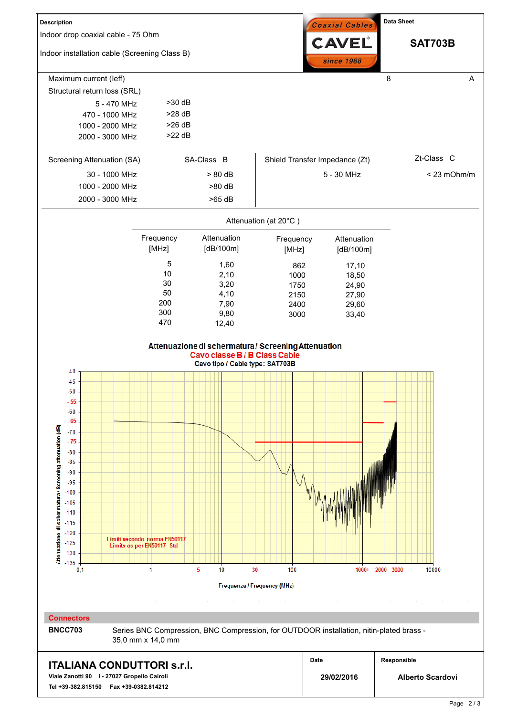